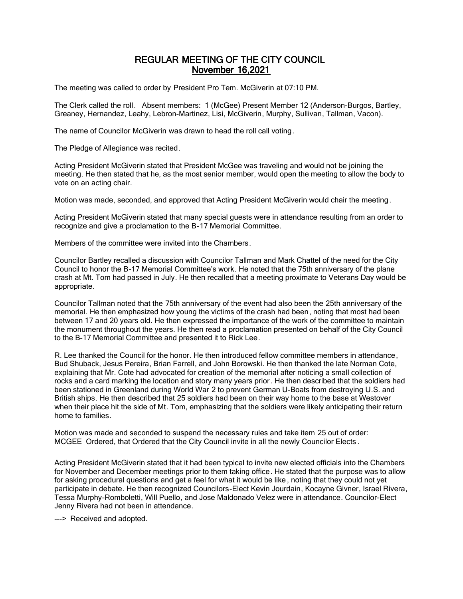# REGULAR MEETING OF THE CITY COUNCIL November 16,2021

The meeting was called to order by President Pro Tem. McGiverin at 07:10 PM.

The Clerk called the roll. Absent members: 1 (McGee) Present Member 12 (Anderson-Burgos, Bartley, Greaney, Hernandez, Leahy, Lebron-Martinez, Lisi, McGiverin, Murphy, Sullivan, Tallman, Vacon).

The name of Councilor McGiverin was drawn to head the roll call voting.

The Pledge of Allegiance was recited.

Acting President McGiverin stated that President McGee was traveling and would not be joining the meeting. He then stated that he, as the most senior member, would open the meeting to allow the body to vote on an acting chair.

Motion was made, seconded, and approved that Acting President McGiverin would chair the meeting.

Acting President McGiverin stated that many special guests were in attendance resulting from an order to recognize and give a proclamation to the B-17 Memorial Committee.

Members of the committee were invited into the Chambers.

Councilor Bartley recalled a discussion with Councilor Tallman and Mark Chattel of the need for the City Council to honor the B-17 Memorial Committee's work. He noted that the 75th anniversary of the plane crash at Mt. Tom had passed in July. He then recalled that a meeting proximate to Veterans Day would be appropriate.

Councilor Tallman noted that the 75th anniversary of the event had also been the 25th anniversary of the memorial. He then emphasized how young the victims of the crash had been, noting that most had been between 17 and 20 years old. He then expressed the importance of the work of the committee to maintain the monument throughout the years. He then read a proclamation presented on behalf of the City Council to the B-17 Memorial Committee and presented it to Rick Lee.

R. Lee thanked the Council for the honor. He then introduced fellow committee members in attendance, Bud Shuback, Jesus Pereira, Brian Farrell, and John Borowski. He then thanked the late Norman Cote, explaining that Mr. Cote had advocated for creation of the memorial after noticing a small collection of rocks and a card marking the location and story many years prior . He then described that the soldiers had been stationed in Greenland during World War 2 to prevent German U-Boats from destroying U.S. and British ships. He then described that 25 soldiers had been on their way home to the base at Westover when their place hit the side of Mt. Tom, emphasizing that the soldiers were likely anticipating their return home to families.

Motion was made and seconded to suspend the necessary rules and take item 25 out of order: MCGEE Ordered, that Ordered that the City Council invite in all the newly Councilor Elects .

Acting President McGiverin stated that it had been typical to invite new elected officials into the Chambers for November and December meetings prior to them taking office. He stated that the purpose was to allow for asking procedural questions and get a feel for what it would be like , noting that they could not yet participate in debate. He then recognized Councilors-Elect Kevin Jourdain, Kocayne Givner, Israel Rivera, Tessa Murphy-Romboletti, Will Puello, and Jose Maldonado Velez were in attendance. Councilor-Elect Jenny Rivera had not been in attendance.

---> Received and adopted.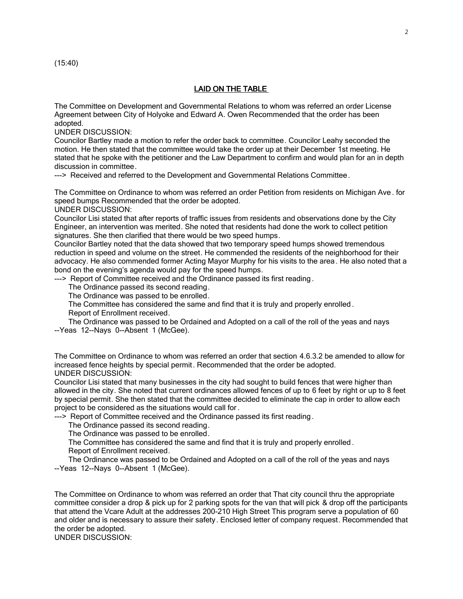(15:40)

# LAID ON THE TABLE

The Committee on Development and Governmental Relations to whom was referred an order License Agreement between City of Holyoke and Edward A. Owen Recommended that the order has been adopted.

UNDER DISCUSSION:

Councilor Bartley made a motion to refer the order back to committee. Councilor Leahy seconded the motion. He then stated that the committee would take the order up at their December 1st meeting. He stated that he spoke with the petitioner and the Law Department to confirm and would plan for an in depth discussion in committee.

---> Received and referred to the Development and Governmental Relations Committee.

The Committee on Ordinance to whom was referred an order Petition from residents on Michigan Ave . for speed bumps Recommended that the order be adopted.

UNDER DISCUSSION:

Councilor Lisi stated that after reports of traffic issues from residents and observations done by the City Engineer, an intervention was merited. She noted that residents had done the work to collect petition signatures. She then clarified that there would be two speed humps.

Councilor Bartley noted that the data showed that two temporary speed humps showed tremendous reduction in speed and volume on the street. He commended the residents of the neighborhood for their advocacy. He also commended former Acting Mayor Murphy for his visits to the area . He also noted that a bond on the evening's agenda would pay for the speed humps.

---> Report of Committee received and the Ordinance passed its first reading.

The Ordinance passed its second reading.

The Ordinance was passed to be enrolled.

 The Committee has considered the same and find that it is truly and properly enrolled . Report of Enrollment received.

 The Ordinance was passed to be Ordained and Adopted on a call of the roll of the yeas and nays --Yeas 12--Nays 0--Absent 1 (McGee).

The Committee on Ordinance to whom was referred an order that section 4.6.3.2 be amended to allow for increased fence heights by special permit. Recommended that the order be adopted. UNDER DISCUSSION:

Councilor Lisi stated that many businesses in the city had sought to build fences that were higher than allowed in the city. She noted that current ordinances allowed fences of up to 6 feet by right or up to 8 feet by special permit. She then stated that the committee decided to eliminate the cap in order to allow each project to be considered as the situations would call for .

---> Report of Committee received and the Ordinance passed its first reading.

The Ordinance passed its second reading.

The Ordinance was passed to be enrolled.

The Committee has considered the same and find that it is truly and properly enrolled .

Report of Enrollment received.

 The Ordinance was passed to be Ordained and Adopted on a call of the roll of the yeas and nays --Yeas 12--Nays 0--Absent 1 (McGee).

The Committee on Ordinance to whom was referred an order that That city council thru the appropriate committee consider a drop & pick up for 2 parking spots for the van that will pick & drop off the participants that attend the Vcare Adult at the addresses 200-210 High Street This program serve a population of 60 and older and is necessary to assure their safety. Enclosed letter of company request. Recommended that the order be adopted.

UNDER DISCUSSION: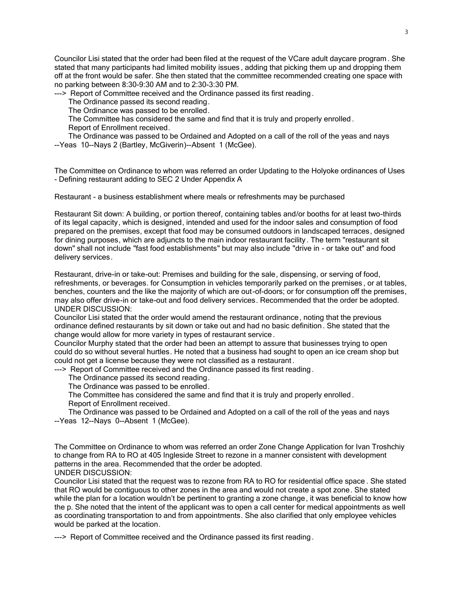Councilor Lisi stated that the order had been filed at the request of the VCare adult daycare program . She stated that many participants had limited mobility issues , adding that picking them up and dropping them off at the front would be safer. She then stated that the committee recommended creating one space with no parking between 8:30-9:30 AM and to 2:30-3:30 PM.

---> Report of Committee received and the Ordinance passed its first reading.

The Ordinance passed its second reading.

The Ordinance was passed to be enrolled.

The Committee has considered the same and find that it is truly and properly enrolled .

Report of Enrollment received.

 The Ordinance was passed to be Ordained and Adopted on a call of the roll of the yeas and nays --Yeas 10--Nays 2 (Bartley, McGiverin)--Absent 1 (McGee).

The Committee on Ordinance to whom was referred an order Updating to the Holyoke ordinances of Uses - Defining restaurant adding to SEC 2 Under Appendix A

Restaurant - a business establishment where meals or refreshments may be purchased

Restaurant Sit down: A building, or portion thereof, containing tables and/or booths for at least two-thirds of its legal capacity, which is designed, intended and used for the indoor sales and consumption of food prepared on the premises, except that food may be consumed outdoors in landscaped terraces, designed for dining purposes, which are adjuncts to the main indoor restaurant facility . The term "restaurant sit down" shall not include "fast food establishments" but may also include "drive in - or take out" and food delivery services.

Restaurant, drive-in or take-out: Premises and building for the sale, dispensing, or serving of food, refreshments, or beverages. for Consumption in vehicles temporarily parked on the premises , or at tables, benches, counters and the like the majority of which are out-of-doors; or for consumption off the premises, may also offer drive-in or take-out and food delivery services. Recommended that the order be adopted. UNDER DISCUSSION:

Councilor Lisi stated that the order would amend the restaurant ordinance, noting that the previous ordinance defined restaurants by sit down or take out and had no basic definition . She stated that the change would allow for more variety in types of restaurant service .

Councilor Murphy stated that the order had been an attempt to assure that businesses trying to open could do so without several hurtles. He noted that a business had sought to open an ice cream shop but could not get a license because they were not classified as a restaurant .

---> Report of Committee received and the Ordinance passed its first reading.

The Ordinance passed its second reading.

The Ordinance was passed to be enrolled.

 The Committee has considered the same and find that it is truly and properly enrolled . Report of Enrollment received.

 The Ordinance was passed to be Ordained and Adopted on a call of the roll of the yeas and nays --Yeas 12--Nays 0--Absent 1 (McGee).

The Committee on Ordinance to whom was referred an order Zone Change Application for Ivan Troshchiy to change from RA to RO at 405 Ingleside Street to rezone in a manner consistent with development patterns in the area. Recommended that the order be adopted.

UNDER DISCUSSION: Councilor Lisi stated that the request was to rezone from RA to RO for residential office space . She stated

that RO would be contiguous to other zones in the area and would not create a spot zone. She stated while the plan for a location wouldn't be pertinent to granting a zone change, it was beneficial to know how the p. She noted that the intent of the applicant was to open a call center for medical appointments as well as coordinating transportation to and from appointments. She also clarified that only employee vehicles would be parked at the location.

---> Report of Committee received and the Ordinance passed its first reading .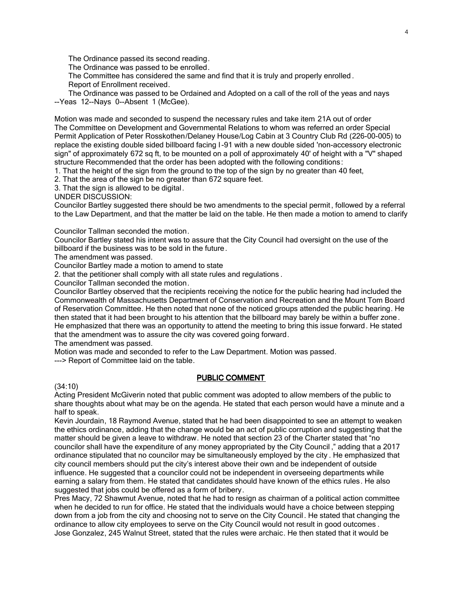The Ordinance passed its second reading.

The Ordinance was passed to be enrolled.

 The Committee has considered the same and find that it is truly and properly enrolled . Report of Enrollment received.

 The Ordinance was passed to be Ordained and Adopted on a call of the roll of the yeas and nays --Yeas 12--Nays 0--Absent 1 (McGee).

Motion was made and seconded to suspend the necessary rules and take item 21A out of order The Committee on Development and Governmental Relations to whom was referred an order Special Permit Application of Peter Rosskothen/Delaney House/Log Cabin at 3 Country Club Rd (226-00-005) to replace the existing double sided billboard facing I -91 with a new double sided 'non-accessory electronic sign" of approximately 672 sq ft, to be mounted on a poll of approximately 40' of height with a "V" shaped structure Recommended that the order has been adopted with the following conditions:

1. That the height of the sign from the ground to the top of the sign by no greater than 40 feet,

2. That the area of the sign be no greater than 672 square feet.

3. That the sign is allowed to be digital.

UNDER DISCUSSION:

Councilor Bartley suggested there should be two amendments to the special permit , followed by a referral to the Law Department, and that the matter be laid on the table. He then made a motion to amend to clarify

Councilor Tallman seconded the motion.

Councilor Bartley stated his intent was to assure that the City Council had oversight on the use of the billboard if the business was to be sold in the future.

The amendment was passed.

Councilor Bartley made a motion to amend to state

2. that the petitioner shall comply with all state rules and regulations .

Councilor Tallman seconded the motion.

Councilor Bartley observed that the recipients receiving the notice for the public hearing had included the Commonwealth of Massachusetts Department of Conservation and Recreation and the Mount Tom Board of Reservation Committee. He then noted that none of the noticed groups attended the public hearing. He then stated that it had been brought to his attention that the billboard may barely be within a buffer zone. He emphasized that there was an opportunity to attend the meeting to bring this issue forward. He stated that the amendment was to assure the city was covered going forward.

The amendment was passed.

Motion was made and seconded to refer to the Law Department. Motion was passed.

---> Report of Committee laid on the table.

# PUBLIC COMMENT

# (34:10)

Acting President McGiverin noted that public comment was adopted to allow members of the public to share thoughts about what may be on the agenda. He stated that each person would have a minute and a half to speak.

Kevin Jourdain, 18 Raymond Avenue, stated that he had been disappointed to see an attempt to weaken the ethics ordinance, adding that the change would be an act of public corruption and suggesting that the matter should be given a leave to withdraw. He noted that section 23 of the Charter stated that "no councilor shall have the expenditure of any money appropriated by the City Council ," adding that a 2017 ordinance stipulated that no councilor may be simultaneously employed by the city . He emphasized that city council members should put the city's interest above their own and be independent of outside influence. He suggested that a councilor could not be independent in overseeing departments while earning a salary from them. He stated that candidates should have known of the ethics rules. He also suggested that jobs could be offered as a form of bribery.

Pres Macy, 72 Shawmut Avenue, noted that he had to resign as chairman of a political action committee when he decided to run for office. He stated that the individuals would have a choice between stepping down from a job from the city and choosing not to serve on the City Council. He stated that changing the ordinance to allow city employees to serve on the City Council would not result in good outcomes . Jose Gonzalez, 245 Walnut Street, stated that the rules were archaic. He then stated that it would be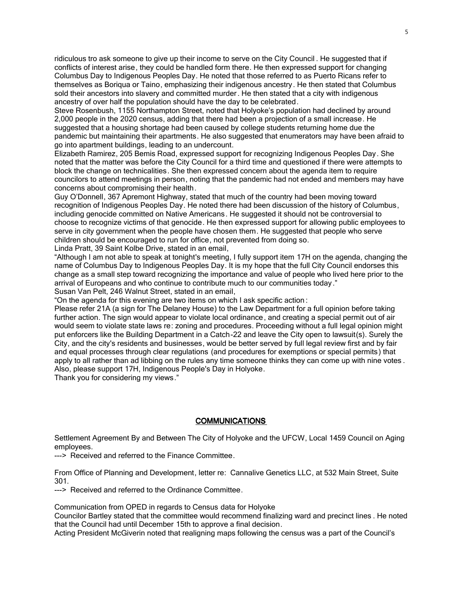ridiculous tro ask someone to give up their income to serve on the City Council . He suggested that if conflicts of interest arise, they could be handled form there. He then expressed support for changing Columbus Day to Indigenous Peoples Day. He noted that those referred to as Puerto Ricans refer to themselves as Boriqua or Taino, emphasizing their indigenous ancestry. He then stated that Columbus sold their ancestors into slavery and committed murder. He then stated that a city with indigenous ancestry of over half the population should have the day to be celebrated.

Steve Rosenbush, 1155 Northampton Street, noted that Holyoke's population had declined by around 2,000 people in the 2020 census, adding that there had been a projection of a small increase. He suggested that a housing shortage had been caused by college students returning home due the pandemic but maintaining their apartments. He also suggested that enumerators may have been afraid to go into apartment buildings, leading to an undercount.

Elizabeth Ramirez, 205 Bemis Road, expressed support for recognizing Indigenous Peoples Day. She noted that the matter was before the City Council for a third time and questioned if there were attempts to block the change on technicalities. She then expressed concern about the agenda item to require councilors to attend meetings in person, noting that the pandemic had not ended and members may have concerns about compromising their health.

Guy O'Donnell, 367 Apremont Highway, stated that much of the country had been moving toward recognition of Indigenous Peoples Day. He noted there had been discussion of the history of Columbus, including genocide committed on Native Americans. He suggested it should not be controversial to choose to recognize victims of that genocide. He then expressed support for allowing public employees to serve in city government when the people have chosen them. He suggested that people who serve children should be encouraged to run for office, not prevented from doing so.

Linda Pratt, 39 Saint Kolbe Drive, stated in an email,

"Although I am not able to speak at tonight's meeting, I fully support item 17H on the agenda, changing the name of Columbus Day to Indigenous Peoples Day. It is my hope that the full City Council endorses this change as a small step toward recognizing the importance and value of people who lived here prior to the arrival of Europeans and who continue to contribute much to our communities today."

Susan Van Pelt, 246 Walnut Street, stated in an email,

"On the agenda for this evening are two items on which I ask specific action :

Please refer 21A (a sign for The Delaney House) to the Law Department for a full opinion before taking further action. The sign would appear to violate local ordinance, and creating a special permit out of air would seem to violate state laws re: zoning and procedures. Proceeding without a full legal opinion might put enforcers like the Building Department in a Catch-22 and leave the City open to lawsuit(s). Surely the City, and the city's residents and businesses, would be better served by full legal review first and by fair and equal processes through clear regulations (and procedures for exemptions or special permits) that apply to all rather than ad libbing on the rules any time someone thinks they can come up with nine votes. Also, please support 17H, Indigenous People's Day in Holyoke.

Thank you for considering my views."

#### **COMMUNICATIONS**

Settlement Agreement By and Between The City of Holyoke and the UFCW, Local 1459 Council on Aging employees.

---> Received and referred to the Finance Committee.

From Office of Planning and Development, letter re: Cannalive Genetics LLC, at 532 Main Street, Suite 301.

---> Received and referred to the Ordinance Committee.

Communication from OPED in regards to Census data for Holyoke

Councilor Bartley stated that the committee would recommend finalizing ward and precinct lines . He noted that the Council had until December 15th to approve a final decision.

Acting President McGiverin noted that realigning maps following the census was a part of the Council's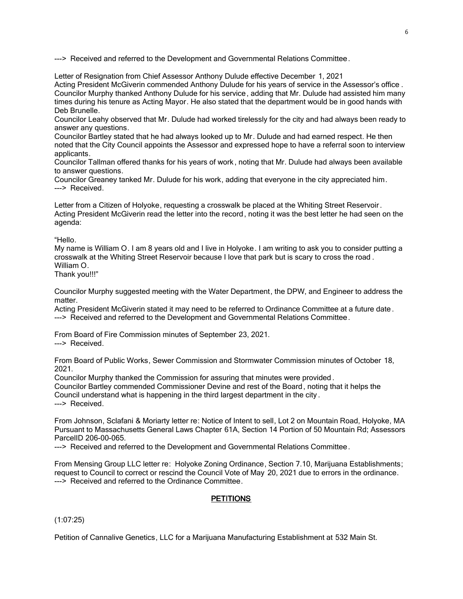---> Received and referred to the Development and Governmental Relations Committee.

Letter of Resignation from Chief Assessor Anthony Dulude effective December 1, 2021

Acting President McGiverin commended Anthony Dulude for his years of service in the Assessor's office . Councilor Murphy thanked Anthony Dulude for his service, adding that Mr. Dulude had assisted him many times during his tenure as Acting Mayor. He also stated that the department would be in good hands with Deb Brunelle.

Councilor Leahy observed that Mr. Dulude had worked tirelessly for the city and had always been ready to answer any questions.

Councilor Bartley stated that he had always looked up to Mr. Dulude and had earned respect. He then noted that the City Council appoints the Assessor and expressed hope to have a referral soon to interview applicants.

Councilor Tallman offered thanks for his years of work, noting that Mr. Dulude had always been available to answer questions.

Councilor Greaney tanked Mr. Dulude for his work, adding that everyone in the city appreciated him. ---> Received.

Letter from a Citizen of Holyoke, requesting a crosswalk be placed at the Whiting Street Reservoir . Acting President McGiverin read the letter into the record, noting it was the best letter he had seen on the agenda:

"Hello.

My name is William O. I am 8 years old and I live in Holyoke. I am writing to ask you to consider putting a crosswalk at the Whiting Street Reservoir because I love that park but is scary to cross the road . William O.

Thank you!!!"

Councilor Murphy suggested meeting with the Water Department, the DPW, and Engineer to address the matter.

Acting President McGiverin stated it may need to be referred to Ordinance Committee at a future date . ---> Received and referred to the Development and Governmental Relations Committee.

From Board of Fire Commission minutes of September 23, 2021. ---> Received.

From Board of Public Works, Sewer Commission and Stormwater Commission minutes of October 18, 2021.

Councilor Murphy thanked the Commission for assuring that minutes were provided .

Councilor Bartley commended Commissioner Devine and rest of the Board, noting that it helps the Council understand what is happening in the third largest department in the city .

---> Received.

From Johnson, Sclafani & Moriarty letter re: Notice of Intent to sell, Lot 2 on Mountain Road, Holyoke, MA Pursuant to Massachusetts General Laws Chapter 61A, Section 14 Portion of 50 Mountain Rd; Assessors ParcelID 206-00-065.

---> Received and referred to the Development and Governmental Relations Committee.

From Mensing Group LLC letter re: Holyoke Zoning Ordinance, Section 7.10, Marijuana Establishments; request to Council to correct or rescind the Council Vote of May 20, 2021 due to errors in the ordinance. ---> Received and referred to the Ordinance Committee.

# **PETITIONS**

(1:07:25)

Petition of Cannalive Genetics, LLC for a Marijuana Manufacturing Establishment at 532 Main St.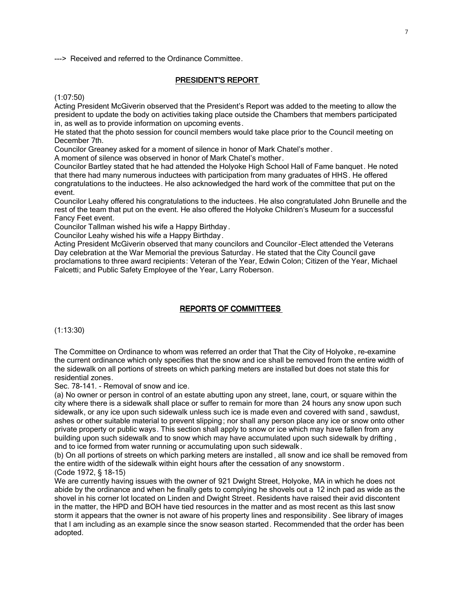---> Received and referred to the Ordinance Committee.

#### PRESIDENT'S REPORT

(1:07:50)

Acting President McGiverin observed that the President's Report was added to the meeting to allow the president to update the body on activities taking place outside the Chambers that members participated in, as well as to provide information on upcoming events.

He stated that the photo session for council members would take place prior to the Council meeting on December 7th.

Councilor Greaney asked for a moment of silence in honor of Mark Chatel's mother .

A moment of silence was observed in honor of Mark Chatel's mother.

Councilor Bartley stated that he had attended the Holyoke High School Hall of Fame banquet. He noted that there had many numerous inductees with participation from many graduates of HHS. He offered congratulations to the inductees. He also acknowledged the hard work of the committee that put on the event.

Councilor Leahy offered his congratulations to the inductees. He also congratulated John Brunelle and the rest of the team that put on the event. He also offered the Holyoke Children's Museum for a successful Fancy Feet event.

Councilor Tallman wished his wife a Happy Birthday .

Councilor Leahy wished his wife a Happy Birthday.

Acting President McGiverin observed that many councilors and Councilor -Elect attended the Veterans Day celebration at the War Memorial the previous Saturday. He stated that the City Council gave proclamations to three award recipients: Veteran of the Year, Edwin Colon; Citizen of the Year, Michael Falcetti; and Public Safety Employee of the Year, Larry Roberson.

# REPORTS OF COMMITTEES

(1:13:30)

The Committee on Ordinance to whom was referred an order that That the City of Holyoke, re-examine the current ordinance which only specifies that the snow and ice shall be removed from the entire width of the sidewalk on all portions of streets on which parking meters are installed but does not state this for residential zones.

Sec. 78-141. - Removal of snow and ice.

(a) No owner or person in control of an estate abutting upon any street, lane, court, or square within the city where there is a sidewalk shall place or suffer to remain for more than 24 hours any snow upon such sidewalk, or any ice upon such sidewalk unless such ice is made even and covered with sand , sawdust, ashes or other suitable material to prevent slipping; nor shall any person place any ice or snow onto other private property or public ways. This section shall apply to snow or ice which may have fallen from any building upon such sidewalk and to snow which may have accumulated upon such sidewalk by drifting , and to ice formed from water running or accumulating upon such sidewalk.

(b) On all portions of streets on which parking meters are installed , all snow and ice shall be removed from the entire width of the sidewalk within eight hours after the cessation of any snowstorm . (Code 1972, § 18-15)

We are currently having issues with the owner of 921 Dwight Street, Holyoke, MA in which he does not abide by the ordinance and when he finally gets to complying he shovels out a 12 inch pad as wide as the shovel in his corner lot located on Linden and Dwight Street. Residents have raised their avid discontent in the matter, the HPD and BOH have tied resources in the matter and as most recent as this last snow storm it appears that the owner is not aware of his property lines and responsibility . See library of images that I am including as an example since the snow season started. Recommended that the order has been adopted.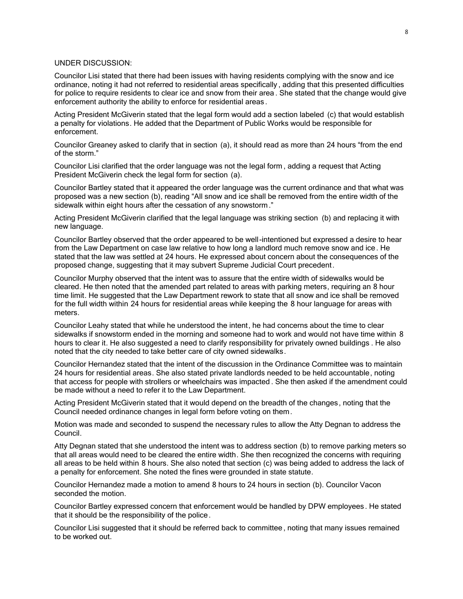# UNDER DISCUSSION:

Councilor Lisi stated that there had been issues with having residents complying with the snow and ice ordinance, noting it had not referred to residential areas specifically , adding that this presented difficulties for police to require residents to clear ice and snow from their area . She stated that the change would give enforcement authority the ability to enforce for residential areas .

Acting President McGiverin stated that the legal form would add a section labeled (c) that would establish a penalty for violations. He added that the Department of Public Works would be responsible for enforcement.

Councilor Greaney asked to clarify that in section (a), it should read as more than 24 hours "from the end of the storm."

Councilor Lisi clarified that the order language was not the legal form , adding a request that Acting President McGiverin check the legal form for section (a).

Councilor Bartley stated that it appeared the order language was the current ordinance and that what was proposed was a new section (b), reading "All snow and ice shall be removed from the entire width of the sidewalk within eight hours after the cessation of any snowstorm ."

Acting President McGiverin clarified that the legal language was striking section (b) and replacing it with new language.

Councilor Bartley observed that the order appeared to be well-intentioned but expressed a desire to hear from the Law Department on case law relative to how long a landlord much remove snow and ice . He stated that the law was settled at 24 hours. He expressed about concern about the consequences of the proposed change, suggesting that it may subvert Supreme Judicial Court precedent.

Councilor Murphy observed that the intent was to assure that the entire width of sidewalks would be cleared. He then noted that the amended part related to areas with parking meters, requiring an 8 hour time limit. He suggested that the Law Department rework to state that all snow and ice shall be removed for the full width within 24 hours for residential areas while keeping the 8 hour language for areas with meters.

Councilor Leahy stated that while he understood the intent, he had concerns about the time to clear sidewalks if snowstorm ended in the morning and someone had to work and would not have time within 8 hours to clear it. He also suggested a need to clarify responsibility for privately owned buildings . He also noted that the city needed to take better care of city owned sidewalks.

Councilor Hernandez stated that the intent of the discussion in the Ordinance Committee was to maintain 24 hours for residential areas. She also stated private landlords needed to be held accountable, noting that access for people with strollers or wheelchairs was impacted . She then asked if the amendment could be made without a need to refer it to the Law Department.

Acting President McGiverin stated that it would depend on the breadth of the changes, noting that the Council needed ordinance changes in legal form before voting on them.

Motion was made and seconded to suspend the necessary rules to allow the Atty Degnan to address the Council.

Atty Degnan stated that she understood the intent was to address section (b) to remove parking meters so that all areas would need to be cleared the entire width. She then recognized the concerns with requiring all areas to be held within 8 hours. She also noted that section (c) was being added to address the lack of a penalty for enforcement. She noted the fines were grounded in state statute.

Councilor Hernandez made a motion to amend 8 hours to 24 hours in section (b). Councilor Vacon seconded the motion.

Councilor Bartley expressed concern that enforcement would be handled by DPW employees . He stated that it should be the responsibility of the police.

Councilor Lisi suggested that it should be referred back to committee , noting that many issues remained to be worked out.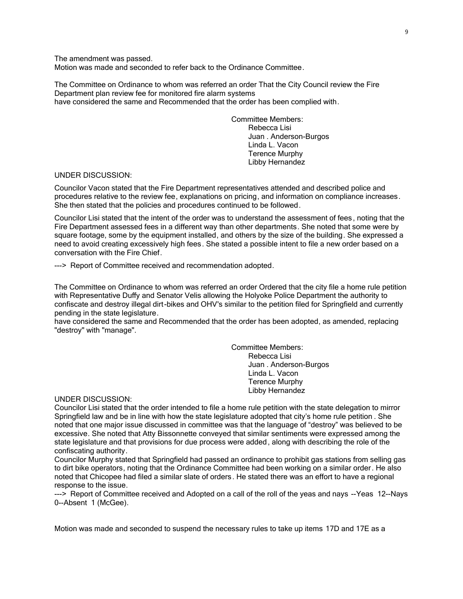The amendment was passed.

Motion was made and seconded to refer back to the Ordinance Committee.

The Committee on Ordinance to whom was referred an order That the City Council review the Fire Department plan review fee for monitored fire alarm systems have considered the same and Recommended that the order has been complied with.

> Committee Members: Rebecca Lisi Juan . Anderson-Burgos Linda L. Vacon Terence Murphy Libby Hernandez

### UNDER DISCUSSION:

Councilor Vacon stated that the Fire Department representatives attended and described police and procedures relative to the review fee, explanations on pricing, and information on compliance increases. She then stated that the policies and procedures continued to be followed.

Councilor Lisi stated that the intent of the order was to understand the assessment of fees, noting that the Fire Department assessed fees in a different way than other departments. She noted that some were by square footage, some by the equipment installed, and others by the size of the building. She expressed a need to avoid creating excessively high fees. She stated a possible intent to file a new order based on a conversation with the Fire Chief.

---> Report of Committee received and recommendation adopted.

The Committee on Ordinance to whom was referred an order Ordered that the city file a home rule petition with Representative Duffy and Senator Velis allowing the Holyoke Police Department the authority to confiscate and destroy illegal dirt-bikes and OHV's similar to the petition filed for Springfield and currently pending in the state legislature.

have considered the same and Recommended that the order has been adopted, as amended, replacing "destroy" with "manage".

> Committee Members: Rebecca Lisi Juan . Anderson-Burgos Linda L. Vacon Terence Murphy Libby Hernandez

#### UNDER DISCUSSION:

Councilor Lisi stated that the order intended to file a home rule petition with the state delegation to mirror Springfield law and be in line with how the state legislature adopted that city's home rule petition . She noted that one major issue discussed in committee was that the language of "destroy" was believed to be excessive. She noted that Atty Bissonnette conveyed that similar sentiments were expressed among the state legislature and that provisions for due process were added, along with describing the role of the confiscating authority.

Councilor Murphy stated that Springfield had passed an ordinance to prohibit gas stations from selling gas to dirt bike operators, noting that the Ordinance Committee had been working on a similar order. He also noted that Chicopee had filed a similar slate of orders. He stated there was an effort to have a regional response to the issue.

---> Report of Committee received and Adopted on a call of the roll of the yeas and nays --Yeas 12--Nays 0--Absent 1 (McGee).

Motion was made and seconded to suspend the necessary rules to take up items 17D and 17E as a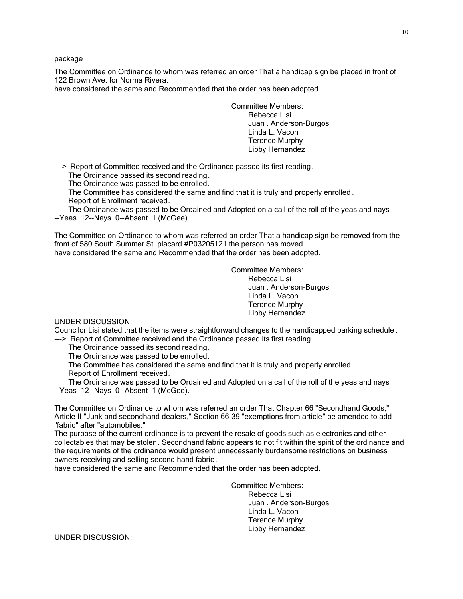package

The Committee on Ordinance to whom was referred an order That a handicap sign be placed in front of 122 Brown Ave. for Norma Rivera.

have considered the same and Recommended that the order has been adopted.

Committee Members: Rebecca Lisi Juan . Anderson-Burgos Linda L. Vacon Terence Murphy Libby Hernandez

---> Report of Committee received and the Ordinance passed its first reading.

The Ordinance passed its second reading.

The Ordinance was passed to be enrolled.

 The Committee has considered the same and find that it is truly and properly enrolled . Report of Enrollment received.

 The Ordinance was passed to be Ordained and Adopted on a call of the roll of the yeas and nays --Yeas 12--Nays 0--Absent 1 (McGee).

The Committee on Ordinance to whom was referred an order That a handicap sign be removed from the front of 580 South Summer St. placard #P03205121 the person has moved. have considered the same and Recommended that the order has been adopted.

> Committee Members: Rebecca Lisi Juan . Anderson-Burgos Linda L. Vacon Terence Murphy Libby Hernandez

UNDER DISCUSSION:

Councilor Lisi stated that the items were straightforward changes to the handicapped parking schedule . ---> Report of Committee received and the Ordinance passed its first reading.

The Ordinance passed its second reading.

The Ordinance was passed to be enrolled.

 The Committee has considered the same and find that it is truly and properly enrolled . Report of Enrollment received.

 The Ordinance was passed to be Ordained and Adopted on a call of the roll of the yeas and nays --Yeas 12--Nays 0--Absent 1 (McGee).

The Committee on Ordinance to whom was referred an order That Chapter 66 "Secondhand Goods," Article II "Junk and secondhand dealers," Section 66-39 "exemptions from article" be amended to add "fabric" after "automobiles."

The purpose of the current ordinance is to prevent the resale of goods such as electronics and other collectables that may be stolen. Secondhand fabric appears to not fit within the spirit of the ordinance and the requirements of the ordinance would present unnecessarily burdensome restrictions on business owners receiving and selling second hand fabric.

have considered the same and Recommended that the order has been adopted.

Committee Members: Rebecca Lisi Juan . Anderson-Burgos Linda L. Vacon Terence Murphy Libby Hernandez

UNDER DISCUSSION: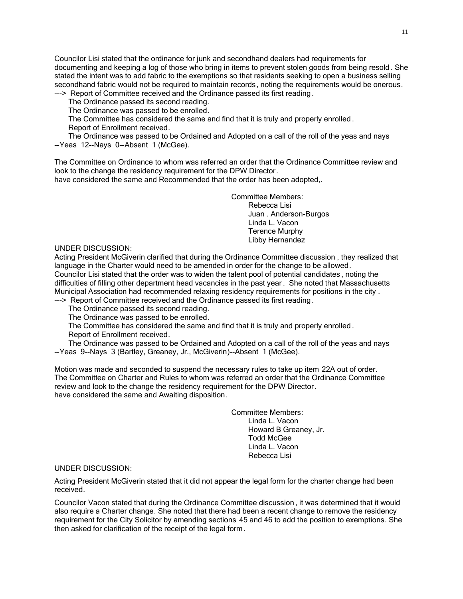Councilor Lisi stated that the ordinance for junk and secondhand dealers had requirements for documenting and keeping a log of those who bring in items to prevent stolen goods from being resold . She stated the intent was to add fabric to the exemptions so that residents seeking to open a business selling secondhand fabric would not be required to maintain records, noting the requirements would be onerous. ---> Report of Committee received and the Ordinance passed its first reading.

The Ordinance passed its second reading.

The Ordinance was passed to be enrolled.

The Committee has considered the same and find that it is truly and properly enrolled .

Report of Enrollment received.

 The Ordinance was passed to be Ordained and Adopted on a call of the roll of the yeas and nays --Yeas 12--Nays 0--Absent 1 (McGee).

The Committee on Ordinance to whom was referred an order that the Ordinance Committee review and look to the change the residency requirement for the DPW Director.

have considered the same and Recommended that the order has been adopted,.

Committee Members: Rebecca Lisi Juan . Anderson-Burgos Linda L. Vacon Terence Murphy Libby Hernandez

UNDER DISCUSSION:

Acting President McGiverin clarified that during the Ordinance Committee discussion , they realized that language in the Charter would need to be amended in order for the change to be allowed. Councilor Lisi stated that the order was to widen the talent pool of potential candidates , noting the difficulties of filling other department head vacancies in the past year . She noted that Massachusetts Municipal Association had recommended relaxing residency requirements for positions in the city .

---> Report of Committee received and the Ordinance passed its first reading.

The Ordinance passed its second reading.

The Ordinance was passed to be enrolled.

 The Committee has considered the same and find that it is truly and properly enrolled . Report of Enrollment received.

 The Ordinance was passed to be Ordained and Adopted on a call of the roll of the yeas and nays --Yeas 9--Nays 3 (Bartley, Greaney, Jr., McGiverin)--Absent 1 (McGee).

Motion was made and seconded to suspend the necessary rules to take up item 22A out of order. The Committee on Charter and Rules to whom was referred an order that the Ordinance Committee review and look to the change the residency requirement for the DPW Director. have considered the same and Awaiting disposition.

> Committee Members: Linda L. Vacon Howard B Greaney, Jr. Todd McGee Linda L. Vacon Rebecca Lisi

# UNDER DISCUSSION:

Acting President McGiverin stated that it did not appear the legal form for the charter change had been received.

Councilor Vacon stated that during the Ordinance Committee discussion , it was determined that it would also require a Charter change. She noted that there had been a recent change to remove the residency requirement for the City Solicitor by amending sections 45 and 46 to add the position to exemptions. She then asked for clarification of the receipt of the legal form.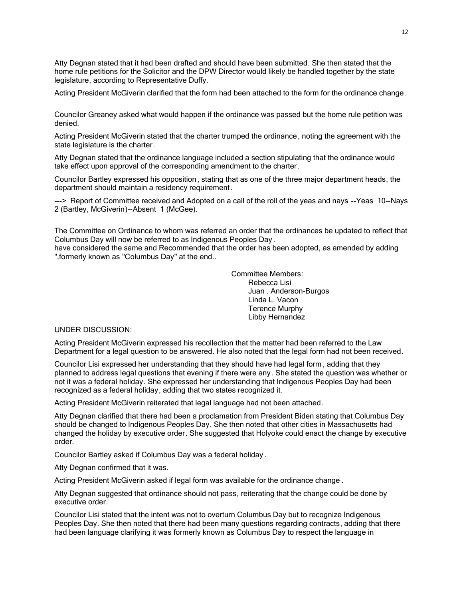Atty Degnan stated that it had been drafted and should have been submitted. She then stated that the home rule petitions for the Solicitor and the DPW Director would likely be handled together by the state legislature, according to Representative Duffy.

Acting President McGiverin clarified that the form had been attached to the form for the ordinance change .

Councilor Greaney asked what would happen if the ordinance was passed but the home rule petition was denied.

Acting President McGiverin stated that the charter trumped the ordinance, noting the agreement with the state legislature is the charter.

Atty Degnan stated that the ordinance language included a section stipulating that the ordinance would take effect upon approval of the corresponding amendment to the charter.

Councilor Bartley expressed his opposition, stating that as one of the three major department heads, the department should maintain a residency requirement.

---> Report of Committee received and Adopted on a call of the roll of the yeas and nays --Yeas 10--Nays 2 (Bartley, McGiverin)--Absent 1 (McGee).

The Committee on Ordinance to whom was referred an order that the ordinances be updated to reflect that Columbus Day will now be referred to as Indigenous Peoples Day.

have considered the same and Recommended that the order has been adopted, as amended by adding ",formerly known as "Columbus Day" at the end..

> Committee Members: Rebecca Lisi Juan . Anderson-Burgos Linda L. Vacon Terence Murphy Libby Hernandez

UNDER DISCUSSION:

Acting President McGiverin expressed his recollection that the matter had been referred to the Law Department for a legal question to be answered. He also noted that the legal form had not been received.

Councilor Lisi expressed her understanding that they should have had legal form , adding that they planned to address legal questions that evening if there were any. She stated the question was whether or not it was a federal holiday. She expressed her understanding that Indigenous Peoples Day had been recognized as a federal holiday, adding that two states recognized it.

Acting President McGiverin reiterated that legal language had not been attached.

Atty Degnan clarified that there had been a proclamation from President Biden stating that Columbus Day should be changed to Indigenous Peoples Day. She then noted that other cities in Massachusetts had changed the holiday by executive order. She suggested that Holyoke could enact the change by executive order.

Councilor Bartley asked if Columbus Day was a federal holiday .

Atty Degnan confirmed that it was.

Acting President McGiverin asked if legal form was available for the ordinance change .

Atty Degnan suggested that ordinance should not pass, reiterating that the change could be done by executive order.

Councilor Lisi stated that the intent was not to overturn Columbus Day but to recognize Indigenous Peoples Day. She then noted that there had been many questions regarding contracts, adding that there had been language clarifying it was formerly known as Columbus Day to respect the language in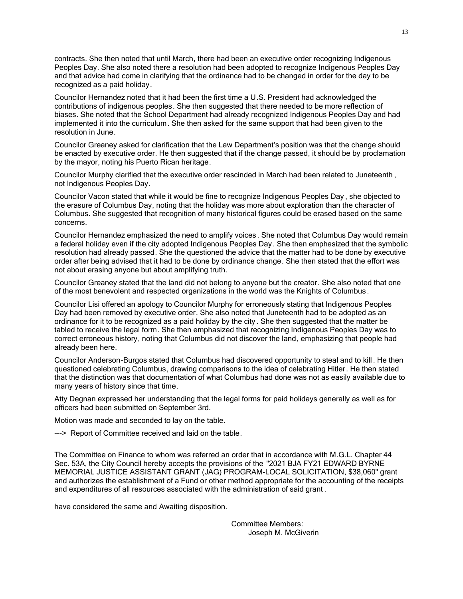contracts. She then noted that until March, there had been an executive order recognizing Indigenous Peoples Day. She also noted there a resolution had been adopted to recognize Indigenous Peoples Day and that advice had come in clarifying that the ordinance had to be changed in order for the day to be recognized as a paid holiday.

Councilor Hernandez noted that it had been the first time a U.S. President had acknowledged the contributions of indigenous peoples. She then suggested that there needed to be more reflection of biases. She noted that the School Department had already recognized Indigenous Peoples Day and had implemented it into the curriculum. She then asked for the same support that had been given to the resolution in June.

Councilor Greaney asked for clarification that the Law Department's position was that the change should be enacted by executive order. He then suggested that if the change passed, it should be by proclamation by the mayor, noting his Puerto Rican heritage.

Councilor Murphy clarified that the executive order rescinded in March had been related to Juneteenth , not Indigenous Peoples Day.

Councilor Vacon stated that while it would be fine to recognize Indigenous Peoples Day , she objected to the erasure of Columbus Day, noting that the holiday was more about exploration than the character of Columbus. She suggested that recognition of many historical figures could be erased based on the same concerns.

Councilor Hernandez emphasized the need to amplify voices. She noted that Columbus Day would remain a federal holiday even if the city adopted Indigenous Peoples Day. She then emphasized that the symbolic resolution had already passed. She the questioned the advice that the matter had to be done by executive order after being advised that it had to be done by ordinance change. She then stated that the effort was not about erasing anyone but about amplifying truth.

Councilor Greaney stated that the land did not belong to anyone but the creator. She also noted that one of the most benevolent and respected organizations in the world was the Knights of Columbus .

Councilor Lisi offered an apology to Councilor Murphy for erroneously stating that Indigenous Peoples Day had been removed by executive order. She also noted that Juneteenth had to be adopted as an ordinance for it to be recognized as a paid holiday by the city . She then suggested that the matter be tabled to receive the legal form. She then emphasized that recognizing Indigenous Peoples Day was to correct erroneous history, noting that Columbus did not discover the land, emphasizing that people had already been here.

Councilor Anderson-Burgos stated that Columbus had discovered opportunity to steal and to kill . He then questioned celebrating Columbus, drawing comparisons to the idea of celebrating Hitler. He then stated that the distinction was that documentation of what Columbus had done was not as easily available due to many years of history since that time.

Atty Degnan expressed her understanding that the legal forms for paid holidays generally as well as for officers had been submitted on September 3rd.

Motion was made and seconded to lay on the table.

---> Report of Committee received and laid on the table.

The Committee on Finance to whom was referred an order that in accordance with M.G.L. Chapter 44 Sec. 53A, the City Council hereby accepts the provisions of the "2021 BJA FY21 EDWARD BYRNE MEMORIAL JUSTICE ASSISTANT GRANT (JAG) PROGRAM-LOCAL SOLICITATION, \$38,060" grant and authorizes the establishment of a Fund or other method appropriate for the accounting of the receipts and expenditures of all resources associated with the administration of said grant .

have considered the same and Awaiting disposition.

Committee Members: Joseph M. McGiverin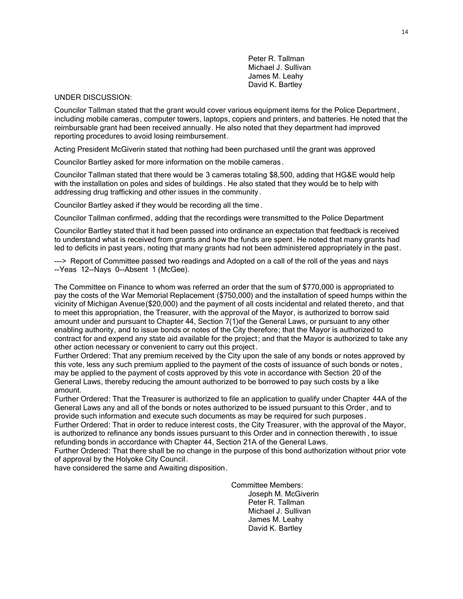Peter R. Tallman Michael J. Sullivan James M. Leahy David K. Bartley

### UNDER DISCUSSION:

Councilor Tallman stated that the grant would cover various equipment items for the Police Department , including mobile cameras, computer towers, laptops, copiers and printers, and batteries. He noted that the reimbursable grant had been received annually. He also noted that they department had improved reporting procedures to avoid losing reimbursement.

Acting President McGiverin stated that nothing had been purchased until the grant was approved

Councilor Bartley asked for more information on the mobile cameras .

Councilor Tallman stated that there would be 3 cameras totaling \$8,500, adding that HG&E would help with the installation on poles and sides of buildings . He also stated that they would be to help with addressing drug trafficking and other issues in the community .

Councilor Bartley asked if they would be recording all the time .

Councilor Tallman confirmed, adding that the recordings were transmitted to the Police Department

Councilor Bartley stated that it had been passed into ordinance an expectation that feedback is received to understand what is received from grants and how the funds are spent. He noted that many grants had led to deficits in past years, noting that many grants had not been administered appropriately in the past.

---> Report of Committee passed two readings and Adopted on a call of the roll of the yeas and nays --Yeas 12--Nays 0--Absent 1 (McGee).

The Committee on Finance to whom was referred an order that the sum of \$770,000 is appropriated to pay the costs of the War Memorial Replacement (\$750,000) and the installation of speed humps within the vicinity of Michigan Avenue(\$20,000) and the payment of all costs incidental and related thereto, and that to meet this appropriation, the Treasurer, with the approval of the Mayor, is authorized to borrow said amount under and pursuant to Chapter 44, Section 7(1)of the General Laws, or pursuant to any other enabling authority, and to issue bonds or notes of the City therefore; that the Mayor is authorized to contract for and expend any state aid available for the project; and that the Mayor is authorized to take any other action necessary or convenient to carry out this project .

Further Ordered: That any premium received by the City upon the sale of any bonds or notes approved by this vote, less any such premium applied to the payment of the costs of issuance of such bonds or notes , may be applied to the payment of costs approved by this vote in accordance with Section 20 of the General Laws, thereby reducing the amount authorized to be borrowed to pay such costs by a like amount.

Further Ordered: That the Treasurer is authorized to file an application to qualify under Chapter 44A of the General Laws any and all of the bonds or notes authorized to be issued pursuant to this Order , and to provide such information and execute such documents as may be required for such purposes .

Further Ordered: That in order to reduce interest costs, the City Treasurer, with the approval of the Mayor, is authorized to refinance any bonds issues pursuant to this Order and in connection therewith , to issue refunding bonds in accordance with Chapter 44, Section 21A of the General Laws.

Further Ordered: That there shall be no change in the purpose of this bond authorization without prior vote of approval by the Holyoke City Council.

have considered the same and Awaiting disposition.

Committee Members: Joseph M. McGiverin Peter R. Tallman Michael J. Sullivan James M. Leahy David K. Bartley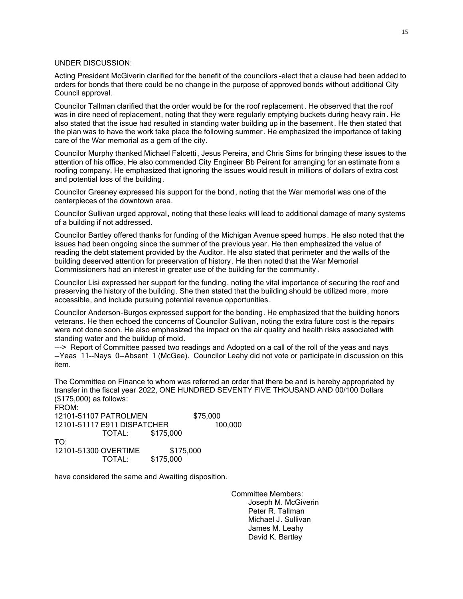# UNDER DISCUSSION:

Acting President McGiverin clarified for the benefit of the councilors -elect that a clause had been added to orders for bonds that there could be no change in the purpose of approved bonds without additional City Council approval.

Councilor Tallman clarified that the order would be for the roof replacement . He observed that the roof was in dire need of replacement, noting that they were regularly emptying buckets during heavy rain . He also stated that the issue had resulted in standing water building up in the basement . He then stated that the plan was to have the work take place the following summer. He emphasized the importance of taking care of the War memorial as a gem of the city.

Councilor Murphy thanked Michael Falcetti, Jesus Pereira, and Chris Sims for bringing these issues to the attention of his office. He also commended City Engineer Bb Peirent for arranging for an estimate from a roofing company. He emphasized that ignoring the issues would result in millions of dollars of extra cost and potential loss of the building.

Councilor Greaney expressed his support for the bond, noting that the War memorial was one of the centerpieces of the downtown area.

Councilor Sullivan urged approval, noting that these leaks will lead to additional damage of many systems of a building if not addressed.

Councilor Bartley offered thanks for funding of the Michigan Avenue speed humps. He also noted that the issues had been ongoing since the summer of the previous year. He then emphasized the value of reading the debt statement provided by the Auditor. He also stated that perimeter and the walls of the building deserved attention for preservation of history. He then noted that the War Memorial Commissioners had an interest in greater use of the building for the community .

Councilor Lisi expressed her support for the funding, noting the vital importance of securing the roof and preserving the history of the building. She then stated that the building should be utilized more, more accessible, and include pursuing potential revenue opportunities.

Councilor Anderson-Burgos expressed support for the bonding. He emphasized that the building honors veterans. He then echoed the concerns of Councilor Sullivan, noting the extra future cost is the repairs were not done soon. He also emphasized the impact on the air quality and health risks associated with standing water and the buildup of mold.

---> Report of Committee passed two readings and Adopted on a call of the roll of the yeas and nays --Yeas 11--Nays 0--Absent 1 (McGee). Councilor Leahy did not vote or participate in discussion on this item.

The Committee on Finance to whom was referred an order that there be and is hereby appropriated by transfer in the fiscal year 2022, ONE HUNDRED SEVENTY FIVE THOUSAND AND 00/100 Dollars (\$175,000) as follows: FROM:

12101-51107 PATROLMEN \$75,000<br>12101-51117 E911 DISPATCHER 100.000 12101-51117 E911 DISPATCHER TOTAL: \$175,000 TO: 12101-51300 OVERTIME \$175,000 TOTAL: \$175,000

have considered the same and Awaiting disposition.

Committee Members: Joseph M. McGiverin Peter R. Tallman Michael J. Sullivan James M. Leahy David K. Bartley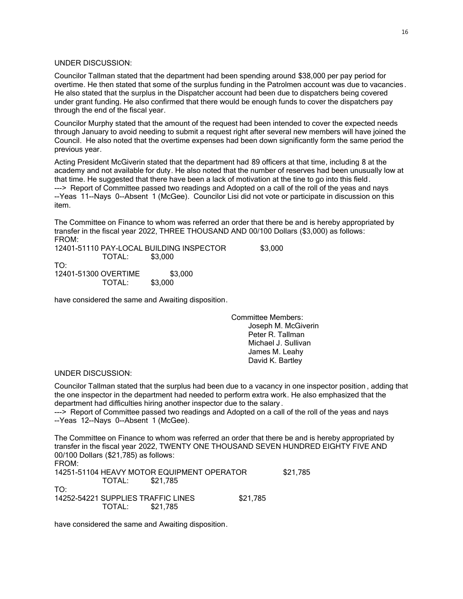### UNDER DISCUSSION:

Councilor Tallman stated that the department had been spending around \$38,000 per pay period for overtime. He then stated that some of the surplus funding in the Patrolmen account was due to vacancies. He also stated that the surplus in the Dispatcher account had been due to dispatchers being covered under grant funding. He also confirmed that there would be enough funds to cover the dispatchers pay through the end of the fiscal year.

Councilor Murphy stated that the amount of the request had been intended to cover the expected needs through January to avoid needing to submit a request right after several new members will have joined the Council. He also noted that the overtime expenses had been down significantly form the same period the previous year.

Acting President McGiverin stated that the department had 89 officers at that time, including 8 at the academy and not available for duty. He also noted that the number of reserves had been unusually low at that time. He suggested that there have been a lack of motivation at the tine to go into this field. ---> Report of Committee passed two readings and Adopted on a call of the roll of the yeas and nays --Yeas 11--Nays 0--Absent 1 (McGee). Councilor Lisi did not vote or participate in discussion on this item.

The Committee on Finance to whom was referred an order that there be and is hereby appropriated by transfer in the fiscal year 2022, THREE THOUSAND AND 00/100 Dollars (\$3,000) as follows: FROM:

12401-51110 PAY-LOCAL BUILDING INSPECTOR \$3,000 TOTAL: \$3,000 TO: 12401-51300 OVERTIME \$3,000 TOTAL: \$3,000

have considered the same and Awaiting disposition.

Committee Members: Joseph M. McGiverin Peter R. Tallman Michael J. Sullivan James M. Leahy David K. Bartley

#### UNDER DISCUSSION:

Councilor Tallman stated that the surplus had been due to a vacancy in one inspector position , adding that the one inspector in the department had needed to perform extra work. He also emphasized that the department had difficulties hiring another inspector due to the salary .

---> Report of Committee passed two readings and Adopted on a call of the roll of the yeas and nays --Yeas 12--Nays 0--Absent 1 (McGee).

The Committee on Finance to whom was referred an order that there be and is hereby appropriated by transfer in the fiscal year 2022, TWENTY ONE THOUSAND SEVEN HUNDRED EIGHTY FIVE AND 00/100 Dollars (\$21,785) as follows:

FROM: 14251-51104 HEAVY MOTOR EQUIPMENT OPERATOR  $$21,785$ <br>TOTAL: \$21.785 TOTAL: TO: 14252-54221 SUPPLIES TRAFFIC LINES \$21,785 TOTAL: \$21,785

have considered the same and Awaiting disposition.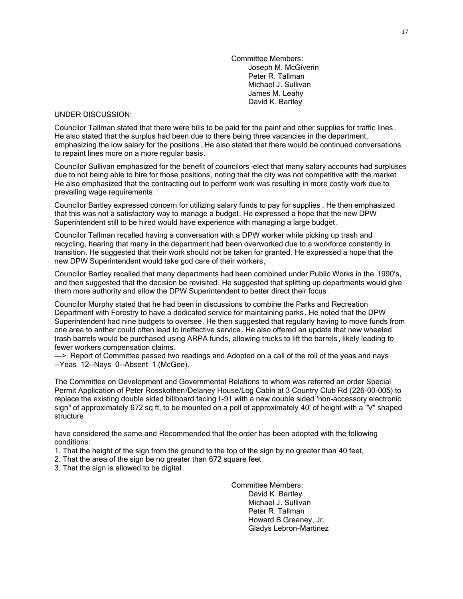Committee Members: Joseph M. McGiverin Peter R. Tallman Michael J. Sullivan James M. Leahy David K. Bartley

#### UNDER DISCUSSION:

Councilor Tallman stated that there were bills to be paid for the paint and other supplies for traffic lines . He also stated that the surplus had been due to there being three vacancies in the department, emphasizing the low salary for the positions. He also stated that there would be continued conversations to repaint lines more on a more regular basis.

Councilor Sullivan emphasized for the benefit of councilors -elect that many salary accounts had surpluses due to not being able to hire for those positions, noting that the city was not competitive with the market. He also emphasized that the contracting out to perform work was resulting in more costly work due to prevailing wage requirements.

Councilor Bartley expressed concern for utilizing salary funds to pay for supplies . He then emphasized that this was not a satisfactory way to manage a budget. He expressed a hope that the new DPW Superintendent still to be hired would have experience with managing a large budget .

Councilor Tallman recalled having a conversation with a DPW worker while picking up trash and recycling, hearing that many in the department had been overworked due to a workforce constantly in transition. He suggested that their work should not be taken for granted. He expressed a hope that the new DPW Superintendent would take god care of their workers,

Councilor Bartley recalled that many departments had been combined under Public Works in the 1990's, and then suggested that the decision be revisited. He suggested that splitting up departments would give them more authority and allow the DPW Superintendent to better direct their focus.

Councilor Murphy stated that he had been in discussions to combine the Parks and Recreation Department with Forestry to have a dedicated service for maintaining parks . He noted that the DPW Superintendent had nine budgets to oversee. He then suggested that regularly having to move funds from one area to anther could often lead to ineffective service. He also offered an update that new wheeled trash barrels would be purchased using ARPA funds, allowing trucks to lift the barrels, likely leading to fewer workers compensation claims.

---> Report of Committee passed two readings and Adopted on a call of the roll of the yeas and nays --Yeas 12--Nays 0--Absent 1 (McGee).

The Committee on Development and Governmental Relations to whom was referred an order Special Permit Application of Peter Rosskothen/Delaney House/Log Cabin at 3 Country Club Rd (226-00-005) to replace the existing double sided billboard facing I -91 with a new double sided 'non-accessory electronic sign" of approximately 672 sq ft, to be mounted on a poll of approximately 40' of height with a "V" shaped structure

have considered the same and Recommended that the order has been adopted with the following conditions:

1. That the height of the sign from the ground to the top of the sign by no greater than 40 feet,

- 2. That the area of the sign be no greater than 672 square feet.
- 3. That the sign is allowed to be digital.

Committee Members: David K. Bartley Michael J. Sullivan Peter R. Tallman Howard B Greaney, Jr. Gladys Lebron-Martinez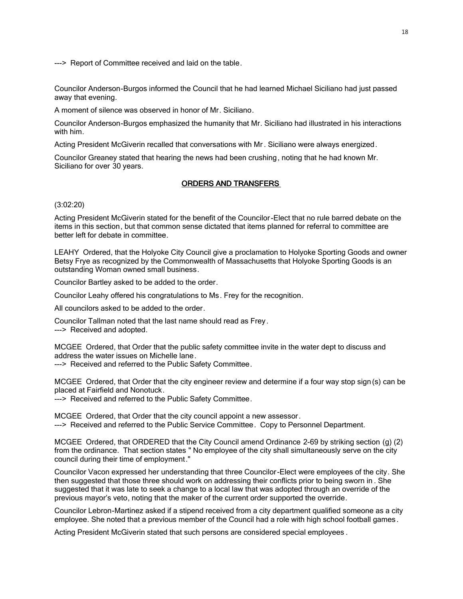---> Report of Committee received and laid on the table.

Councilor Anderson-Burgos informed the Council that he had learned Michael Siciliano had just passed away that evening.

A moment of silence was observed in honor of Mr. Siciliano.

Councilor Anderson-Burgos emphasized the humanity that Mr. Siciliano had illustrated in his interactions with him.

Acting President McGiverin recalled that conversations with Mr . Siciliano were always energized.

Councilor Greaney stated that hearing the news had been crushing, noting that he had known Mr. Siciliano for over 30 years.

# ORDERS AND TRANSFERS

(3:02:20)

Acting President McGiverin stated for the benefit of the Councilor -Elect that no rule barred debate on the items in this section, but that common sense dictated that items planned for referral to committee are better left for debate in committee.

LEAHY Ordered, that the Holyoke City Council give a proclamation to Holyoke Sporting Goods and owner Betsy Frye as recognized by the Commonwealth of Massachusetts that Holyoke Sporting Goods is an outstanding Woman owned small business.

Councilor Bartley asked to be added to the order.

Councilor Leahy offered his congratulations to Ms. Frey for the recognition.

All councilors asked to be added to the order.

Councilor Tallman noted that the last name should read as Frey. ---> Received and adopted.

MCGEE Ordered, that Order that the public safety committee invite in the water dept to discuss and address the water issues on Michelle lane.

---> Received and referred to the Public Safety Committee.

MCGEE Ordered, that Order that the city engineer review and determine if a four way stop sign (s) can be placed at Fairfield and Nonotuck.

---> Received and referred to the Public Safety Committee.

MCGEE Ordered, that Order that the city council appoint a new assessor. ---> Received and referred to the Public Service Committee. Copy to Personnel Department.

MCGEE Ordered, that ORDERED that the City Council amend Ordinance 2-69 by striking section (g) (2) from the ordinance. That section states " No employee of the city shall simultaneously serve on the city council during their time of employment."

Councilor Vacon expressed her understanding that three Councilor-Elect were employees of the city. She then suggested that those three should work on addressing their conflicts prior to being sworn in . She suggested that it was late to seek a change to a local law that was adopted through an override of the previous mayor's veto, noting that the maker of the current order supported the override.

Councilor Lebron-Martinez asked if a stipend received from a city department qualified someone as a city employee. She noted that a previous member of the Council had a role with high school football games .

Acting President McGiverin stated that such persons are considered special employees .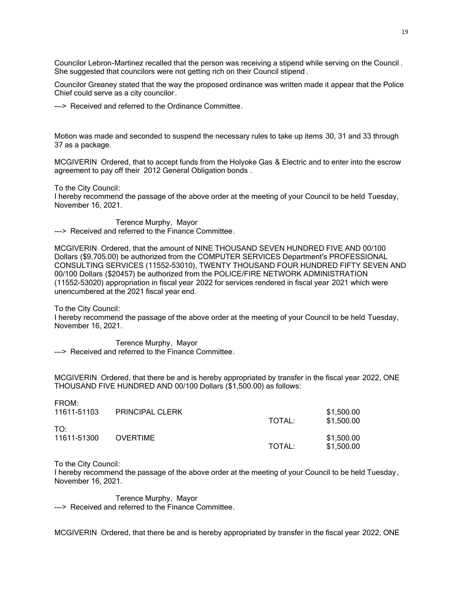Councilor Lebron-Martinez recalled that the person was receiving a stipend while serving on the Council . She suggested that councilors were not getting rich on their Council stipend.

Councilor Greaney stated that the way the proposed ordinance was written made it appear that the Police Chief could serve as a city councilor.

---> Received and referred to the Ordinance Committee.

Motion was made and seconded to suspend the necessary rules to take up items 30, 31 and 33 through 37 as a package.

MCGIVERIN Ordered, that to accept funds from the Holyoke Gas & Electric and to enter into the escrow agreement to pay off their 2012 General Obligation bonds .

To the City Council:

I hereby recommend the passage of the above order at the meeting of your Council to be held Tuesday, November 16, 2021.

Terence Murphy, Mayor ---> Received and referred to the Finance Committee.

MCGIVERIN Ordered, that the amount of NINE THOUSAND SEVEN HUNDRED FIVE AND 00/100 Dollars (\$9,705.00) be authorized from the COMPUTER SERVICES Department's PROFESSIONAL CONSULTING SERVICES (11552-53010), TWENTY THOUSAND FOUR HUNDRED FIFTY SEVEN AND 00/100 Dollars (\$20457) be authorized from the POLICE/FIRE NETWORK ADMINISTRATION (11552-53020) appropriation in fiscal year 2022 for services rendered in fiscal year 2021 which were unencumbered at the 2021 fiscal year end.

To the City Council:

I hereby recommend the passage of the above order at the meeting of your Council to be held Tuesday, November 16, 2021.

Terence Murphy, Mayor ---> Received and referred to the Finance Committee.

MCGIVERIN Ordered, that there be and is hereby appropriated by transfer in the fiscal year 2022, ONE THOUSAND FIVE HUNDRED AND 00/100 Dollars (\$1,500.00) as follows:

| FROM:<br>11611-51103 | <b>PRINCIPAL CLERK</b> | TOTAL: | \$1,500.00<br>\$1,500.00 |
|----------------------|------------------------|--------|--------------------------|
| TO:<br>11611-51300   | <b>OVERTIME</b>        | TOTAL: | \$1,500.00<br>\$1,500.00 |

To the City Council:

I hereby recommend the passage of the above order at the meeting of your Council to be held Tuesday, November 16, 2021.

Terence Murphy, Mayor ---> Received and referred to the Finance Committee.

MCGIVERIN Ordered, that there be and is hereby appropriated by transfer in the fiscal year 2022, ONE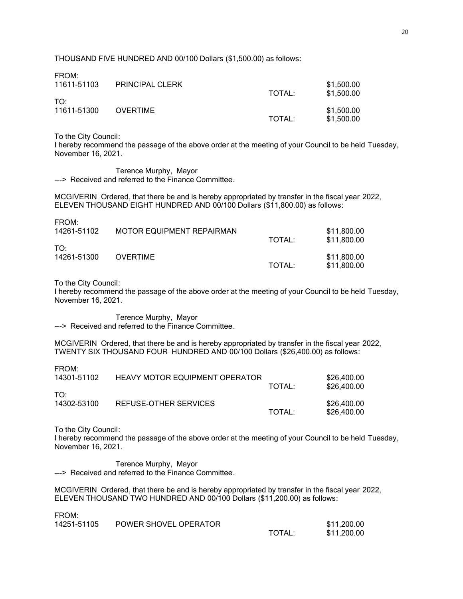THOUSAND FIVE HUNDRED AND 00/100 Dollars (\$1,500.00) as follows:

| FRUM.<br>11611-51103           | <b>PRINCIPAL CLERK</b> | TOTAL: | \$1,500.00<br>\$1,500.00 |
|--------------------------------|------------------------|--------|--------------------------|
| TO <sup>.</sup><br>11611-51300 | <b>OVERTIME</b>        | TOTAL: | \$1,500.00<br>\$1,500.00 |

To the City Council:

FROM:

 $F = 0.11$ 

I hereby recommend the passage of the above order at the meeting of your Council to be held Tuesday, November 16, 2021.

Terence Murphy, Mayor ---> Received and referred to the Finance Committee.

MCGIVERIN Ordered, that there be and is hereby appropriated by transfer in the fiscal year 2022, ELEVEN THOUSAND EIGHT HUNDRED AND 00/100 Dollars (\$11,800.00) as follows:

| <b>FROM:</b><br>14261-51102 | MOTOR EQUIPMENT REPAIRMAN | TOTAL: | \$11,800.00<br>\$11,800.00 |
|-----------------------------|---------------------------|--------|----------------------------|
| TO:<br>14261-51300          | <b>OVERTIME</b>           | TOTAL: | \$11,800.00<br>\$11,800.00 |

To the City Council:

I hereby recommend the passage of the above order at the meeting of your Council to be held Tuesday, November 16, 2021.

Terence Murphy, Mayor ---> Received and referred to the Finance Committee.

MCGIVERIN Ordered, that there be and is hereby appropriated by transfer in the fiscal year 2022, TWENTY SIX THOUSAND FOUR HUNDRED AND 00/100 Dollars (\$26,400.00) as follows:

FROM:

FROM:

| 14301-51102        | <b>HEAVY MOTOR EQUIPMENT OPERATOR</b> | TOTAL: | \$26,400.00<br>\$26,400.00 |
|--------------------|---------------------------------------|--------|----------------------------|
| ⊤∩∙<br>14302-53100 | REFUSE-OTHER SERVICES                 | TOTAL: | \$26,400.00<br>\$26,400.00 |

To the City Council:

I hereby recommend the passage of the above order at the meeting of your Council to be held Tuesday, November 16, 2021.

Terence Murphy, Mayor ---> Received and referred to the Finance Committee.

MCGIVERIN Ordered, that there be and is hereby appropriated by transfer in the fiscal year 2022, ELEVEN THOUSAND TWO HUNDRED AND 00/100 Dollars (\$11,200.00) as follows:

| I I VUIVI.  |                       |        |             |
|-------------|-----------------------|--------|-------------|
| 14251-51105 | POWER SHOVEL OPERATOR |        | \$11,200.00 |
|             |                       | TOTAL. | \$11,200.00 |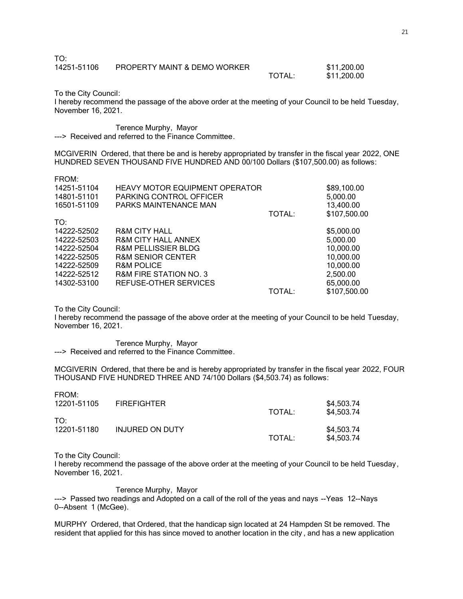| TO:         |                              |        |             |
|-------------|------------------------------|--------|-------------|
| 14251-51106 | PROPERTY MAINT & DEMO WORKER |        | \$11,200.00 |
|             |                              | TOTAL: | \$11,200.00 |

To the City Council:

I hereby recommend the passage of the above order at the meeting of your Council to be held Tuesday, November 16, 2021.

Terence Murphy, Mayor ---> Received and referred to the Finance Committee.

MCGIVERIN Ordered, that there be and is hereby appropriated by transfer in the fiscal year 2022, ONE HUNDRED SEVEN THOUSAND FIVE HUNDRED AND 00/100 Dollars (\$107,500.00) as follows:

|  | w<br>٠ |  |
|--|--------|--|

| <b>HEAVY MOTOR EQUIPMENT OPERATOR</b><br>PARKING CONTROL OFFICER<br>PARKS MAINTENANCE MAN | TOTAL: | \$89,100.00<br>5,000.00<br>13,400.00<br>\$107,500.00 |
|-------------------------------------------------------------------------------------------|--------|------------------------------------------------------|
|                                                                                           |        |                                                      |
| <b>R&amp;M CITY HALL</b>                                                                  |        | \$5,000.00                                           |
| <b>R&amp;M CITY HALL ANNEX</b>                                                            |        | 5,000.00                                             |
| <b>R&amp;M PELLISSIER BLDG</b>                                                            |        | 10,000.00                                            |
| <b>R&amp;M SENIOR CENTER</b>                                                              |        | 10,000.00                                            |
| <b>R&amp;M POLICE</b>                                                                     |        | 10,000.00                                            |
| <b>R&amp;M FIRE STATION NO. 3</b>                                                         |        | 2,500.00                                             |
| REFUSE-OTHER SERVICES                                                                     |        | 65,000.00                                            |
|                                                                                           | TOTAL: | \$107,500.00                                         |
|                                                                                           |        |                                                      |

To the City Council:

I hereby recommend the passage of the above order at the meeting of your Council to be held Tuesday, November 16, 2021.

Terence Murphy, Mayor ---> Received and referred to the Finance Committee.

MCGIVERIN Ordered, that there be and is hereby appropriated by transfer in the fiscal year 2022, FOUR THOUSAND FIVE HUNDRED THREE AND 74/100 Dollars (\$4,503.74) as follows:

| FRUM:<br>12201-51105 | <b>FIREFIGHTER</b> | TOTAL: | \$4,503.74<br>\$4,503.74 |
|----------------------|--------------------|--------|--------------------------|
| T∩∙<br>12201-51180   | INJURED ON DUTY    | TOTAL: | \$4,503.74<br>\$4,503.74 |

To the City Council:

FROM:

I hereby recommend the passage of the above order at the meeting of your Council to be held Tuesday, November 16, 2021.

Terence Murphy, Mayor

---> Passed two readings and Adopted on a call of the roll of the yeas and nays --Yeas 12--Nays 0--Absent 1 (McGee).

MURPHY Ordered, that Ordered, that the handicap sign located at 24 Hampden St be removed. The resident that applied for this has since moved to another location in the city , and has a new application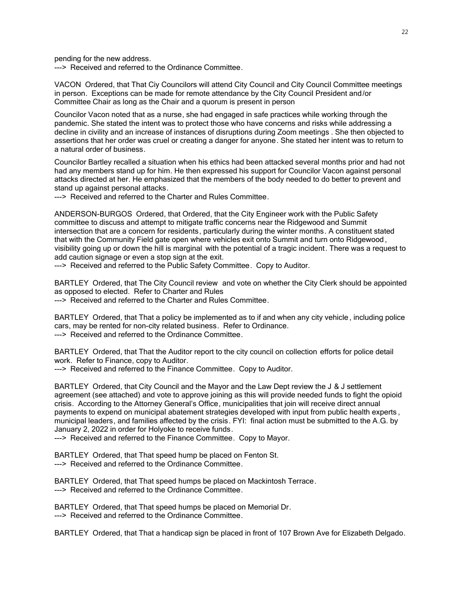pending for the new address.

---> Received and referred to the Ordinance Committee.

VACON Ordered, that That Ciy Councilors will attend City Council and City Council Committee meetings in person. Exceptions can be made for remote attendance by the City Council President and/or Committee Chair as long as the Chair and a quorum is present in person

Councilor Vacon noted that as a nurse, she had engaged in safe practices while working through the pandemic. She stated the intent was to protect those who have concerns and risks while addressing a decline in civility and an increase of instances of disruptions during Zoom meetings . She then objected to assertions that her order was cruel or creating a danger for anyone. She stated her intent was to return to a natural order of business.

Councilor Bartley recalled a situation when his ethics had been attacked several months prior and had not had any members stand up for him. He then expressed his support for Councilor Vacon against personal attacks directed at her. He emphasized that the members of the body needed to do better to prevent and stand up against personal attacks.

---> Received and referred to the Charter and Rules Committee.

ANDERSON-BURGOS Ordered, that Ordered, that the City Engineer work with the Public Safety committee to discuss and attempt to mitigate traffic concerns near the Ridgewood and Summit intersection that are a concern for residents, particularly during the winter months. A constituent stated that with the Community Field gate open where vehicles exit onto Summit and turn onto Ridgewood , visibility going up or down the hill is marginal with the potential of a tragic incident. There was a request to add caution signage or even a stop sign at the exit.

---> Received and referred to the Public Safety Committee. Copy to Auditor.

BARTLEY Ordered, that The City Council review and vote on whether the City Clerk should be appointed as opposed to elected. Refer to Charter and Rules

---> Received and referred to the Charter and Rules Committee.

BARTLEY Ordered, that That a policy be implemented as to if and when any city vehicle , including police cars, may be rented for non-city related business. Refer to Ordinance. ---> Received and referred to the Ordinance Committee.

BARTLEY Ordered, that That the Auditor report to the city council on collection efforts for police detail work. Refer to Finance, copy to Auditor.

---> Received and referred to the Finance Committee. Copy to Auditor.

BARTLEY Ordered, that City Council and the Mayor and the Law Dept review the J & J settlement agreement (see attached) and vote to approve joining as this will provide needed funds to fight the opioid crisis. According to the Attorney General's Office, municipalities that join will receive direct annual payments to expend on municipal abatement strategies developed with input from public health experts , municipal leaders, and families affected by the crisis. FYI: final action must be submitted to the A.G. by January 2, 2022 in order for Holyoke to receive funds.

---> Received and referred to the Finance Committee. Copy to Mayor.

BARTLEY Ordered, that That speed hump be placed on Fenton St. ---> Received and referred to the Ordinance Committee.

BARTLEY Ordered, that That speed humps be placed on Mackintosh Terrace. ---> Received and referred to the Ordinance Committee.

BARTLEY Ordered, that That speed humps be placed on Memorial Dr. ---> Received and referred to the Ordinance Committee.

BARTLEY Ordered, that That a handicap sign be placed in front of 107 Brown Ave for Elizabeth Delgado.